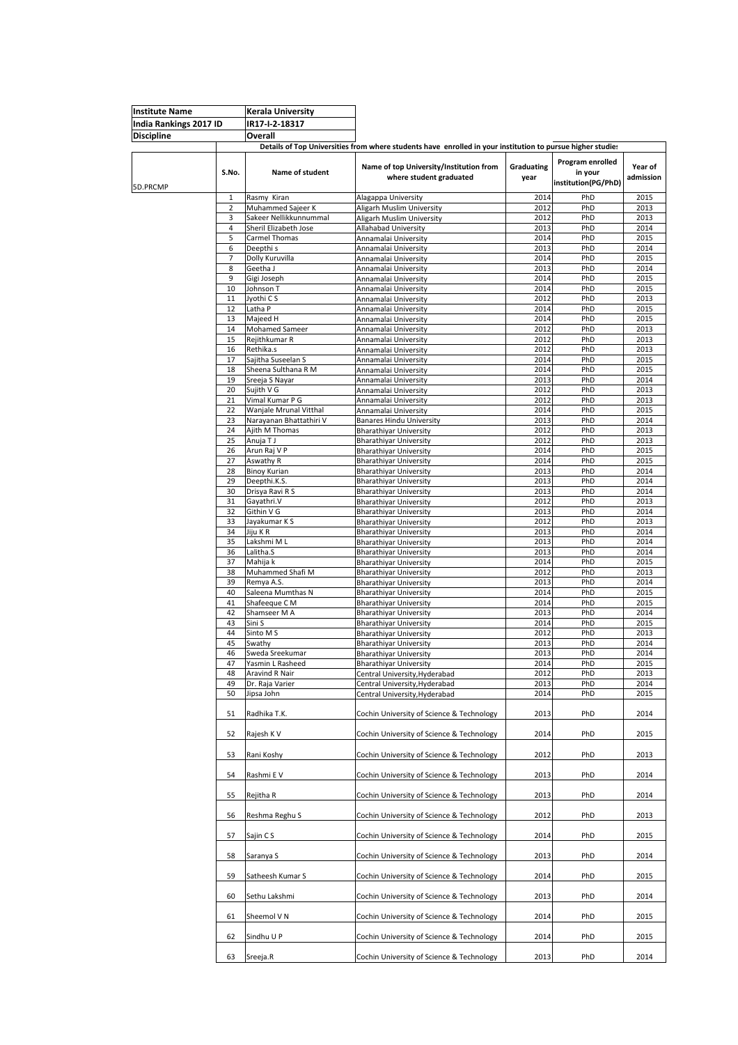| Institute Name                              |                | <b>Kerala University</b>            |                                                                                                            |            |                     |              |
|---------------------------------------------|----------------|-------------------------------------|------------------------------------------------------------------------------------------------------------|------------|---------------------|--------------|
| India Rankings 2017 ID<br><b>Discipline</b> |                | IR17-I-2-18317                      |                                                                                                            |            |                     |              |
|                                             |                | Overall                             |                                                                                                            |            |                     |              |
|                                             |                |                                     | Details of Top Universities from where students have enrolled in your institution to pursue higher studies |            |                     |              |
|                                             |                |                                     |                                                                                                            |            |                     |              |
|                                             |                |                                     | Name of top University/Institution from                                                                    | Graduating | Program enrolled    | Year of      |
|                                             | S.No.          | <b>Name of student</b>              | where student graduated                                                                                    | year       | in your             | admission    |
|                                             |                |                                     |                                                                                                            |            | institution(PG/PhD) |              |
| 5D.PRCMP                                    | 1              | Rasmy Kiran                         |                                                                                                            | 2014       | PhD                 | 2015         |
|                                             | 2              | Muhammed Sajeer K                   | Alagappa University<br>Aligarh Muslim University                                                           | 2012       | PhD                 | 2013         |
|                                             | 3              | Sakeer Nellikkunnummal              |                                                                                                            | 2012       | PhD                 | 2013         |
|                                             | $\overline{4}$ | Sheril Elizabeth Jose               | Aligarh Muslim University<br>Allahabad University                                                          | 2013       | PhD                 | 2014         |
|                                             | 5              | Carmel Thomas                       | Annamalai University                                                                                       | 2014       | PhD                 | 2015         |
|                                             | 6              | Deepthi s                           | Annamalai University                                                                                       | 2013       | PhD                 | 2014         |
|                                             | 7              | Dolly Kuruvilla                     | Annamalai University                                                                                       | 2014       | PhD                 | 2015         |
|                                             | 8              | Geetha J                            | Annamalai University                                                                                       | 2013       | PhD                 | 2014         |
|                                             | 9              | Gigi Joseph                         | Annamalai University                                                                                       | 2014       | PhD                 | 2015         |
|                                             | 10             | Johnson T                           | Annamalai University                                                                                       | 2014       | PhD                 | 2015         |
|                                             | 11             | Jyothi CS                           | Annamalai University                                                                                       | 2012       | PhD                 | 2013         |
|                                             | 12             | Latha P                             | Annamalai University                                                                                       | 2014       | PhD                 | 2015         |
|                                             | 13             | Majeed H                            | Annamalai University                                                                                       | 2014       | PhD                 | 2015         |
|                                             | 14             | <b>Mohamed Sameer</b>               | Annamalai University                                                                                       | 2012       | PhD                 | 2013         |
|                                             | 15             | Rejithkumar R                       | Annamalai University                                                                                       | 2012       | PhD                 | 2013         |
|                                             | 16             | Rethika.s                           | Annamalai University                                                                                       | 2012       | PhD                 | 2013         |
|                                             | 17             | Sajitha Suseelan S                  | Annamalai University                                                                                       | 2014       | PhD                 | 2015         |
|                                             | 18             | Sheena Sulthana R M                 | Annamalai University                                                                                       | 2014       | PhD                 | 2015         |
|                                             | 19             | Sreeja S Nayar                      | Annamalai University                                                                                       | 2013       | PhD                 | 2014         |
|                                             | 20             | Sujith V G                          | Annamalai University                                                                                       | 2012       | PhD                 | 2013         |
|                                             | 21             | Vimal Kumar P G                     | Annamalai University                                                                                       | 2012       | PhD                 | 2013         |
|                                             | 22             | Wanjale Mrunal Vitthal              | Annamalai University                                                                                       | 2014       | PhD                 | 2015         |
|                                             | 23             | Narayanan Bhattathiri V             | <b>Banares Hindu University</b>                                                                            | 2013       | PhD                 | 2014         |
|                                             | 24             | Ajith M Thomas                      | <b>Bharathiyar University</b>                                                                              | 2012       | PhD                 | 2013         |
|                                             | 25             | Anuja T J                           | <b>Bharathiyar University</b>                                                                              | 2012       | PhD                 | 2013         |
|                                             | 26             | Arun Raj V P                        | <b>Bharathiyar University</b>                                                                              | 2014       | PhD                 | 2015         |
|                                             | 27             | Aswathy R                           | <b>Bharathiyar University</b>                                                                              | 2014       | PhD                 | 2015         |
|                                             | 28             | <b>Binoy Kurian</b>                 | <b>Bharathiyar University</b>                                                                              | 2013       | PhD                 | 2014         |
|                                             | 29             | Deepthi.K.S.                        | <b>Bharathiyar University</b>                                                                              | 2013       | PhD                 | 2014         |
|                                             | 30             | Drisya Ravi R S                     | <b>Bharathiyar University</b>                                                                              | 2013       | PhD                 | 2014         |
|                                             | 31             | Gayathri.V                          |                                                                                                            | 2012       | PhD                 | 2013         |
|                                             | 32             | Githin V G                          | <b>Bharathiyar University</b><br><b>Bharathiyar University</b>                                             | 2013       | PhD                 | 2014         |
|                                             | 33             | Jayakumar K S                       |                                                                                                            | 2012       | PhD                 | 2013         |
|                                             | 34             | Jiju K R                            | <b>Bharathiyar University</b><br><b>Bharathiyar University</b>                                             | 2013       | PhD                 | 2014         |
|                                             | 35             | Lakshmi M L                         | <b>Bharathiyar University</b>                                                                              | 2013       | PhD                 | 2014         |
|                                             | 36             | Lalitha.S                           | <b>Bharathiyar University</b>                                                                              | 2013       | PhD                 | 2014         |
|                                             | 37             | Mahija k                            | <b>Bharathiyar University</b>                                                                              | 2014       | PhD                 | 2015         |
|                                             | 38             | Muhammed Shafi M                    |                                                                                                            | 2012       | PhD                 | 2013         |
|                                             | 39             | Remya A.S.                          | <b>Bharathiyar University</b><br><b>Bharathiyar University</b>                                             | 2013       | PhD                 | 2014         |
|                                             | 40             | Saleena Mumthas N                   |                                                                                                            | 2014       | PhD                 | 2015         |
|                                             | 41             | Shafeeque C M                       | <b>Bharathiyar University</b>                                                                              | 2014       | PhD                 | 2015         |
|                                             | 42             | Shamseer M A                        | <b>Bharathiyar University</b>                                                                              | 2013       | PhD                 | 2014         |
|                                             | 43             | Sini S                              | <b>Bharathiyar University</b><br><b>Bharathiyar University</b>                                             | 2014       | PhD                 | 2015         |
|                                             | 44             | Sinto M S                           | <b>Bharathiyar University</b>                                                                              | 2012       | PhD                 | 2013         |
|                                             | 45             | Swathy                              |                                                                                                            | 2013       | PhD                 | 2014         |
|                                             | 46             |                                     | <b>Bharathiyar University</b>                                                                              | 2013       | PhD                 | 2014         |
|                                             | 47             | Sweda Sreekumar<br>Yasmin L Rasheed | <b>Bharathiyar University</b>                                                                              | 2014       | PhD                 | 2015         |
|                                             | 48             |                                     | <b>Bharathiyar University</b>                                                                              | 2012       | PhD                 |              |
|                                             | 49             | Aravind R Nair                      | Central University, Hyderabad                                                                              | 2013       | PhD                 | 2013<br>2014 |
|                                             |                | Dr. Raja Varier                     | Central University, Hyderabad                                                                              |            |                     |              |
|                                             | 50             | Jipsa John                          | Central University, Hyderabad                                                                              | 2014       | PhD                 | 2015         |
|                                             |                |                                     |                                                                                                            |            |                     |              |
|                                             | 51             | Radhika T.K.                        | Cochin University of Science & Technology                                                                  | 2013       | PhD                 | 2014         |
|                                             |                |                                     |                                                                                                            |            |                     |              |
|                                             | 52             | Rajesh K V                          | Cochin University of Science & Technology                                                                  | 2014       | PhD                 | 2015         |
|                                             |                |                                     |                                                                                                            |            |                     |              |
|                                             | 53             | Rani Koshy                          | Cochin University of Science & Technology                                                                  | 2012       | PhD                 | 2013         |
|                                             |                |                                     |                                                                                                            |            |                     |              |
|                                             | 54             | Rashmi E V                          | Cochin University of Science & Technology                                                                  | 2013       | PhD                 | 2014         |
|                                             |                |                                     |                                                                                                            |            |                     |              |
|                                             | 55             | Rejitha R                           | Cochin University of Science & Technology                                                                  | 2013       | PhD                 | 2014         |
|                                             |                |                                     |                                                                                                            |            |                     |              |
|                                             | 56             | Reshma Reghu S                      | Cochin University of Science & Technology                                                                  | 2012       | PhD                 | 2013         |
|                                             |                |                                     |                                                                                                            |            |                     |              |
|                                             | 57             | Sajin C S                           | Cochin University of Science & Technology                                                                  | 2014       | PhD                 | 2015         |
|                                             |                |                                     |                                                                                                            |            |                     |              |
|                                             | 58             | Saranya S                           | Cochin University of Science & Technology                                                                  | 2013       | PhD                 | 2014         |
|                                             |                |                                     |                                                                                                            |            |                     |              |
|                                             | 59             | Satheesh Kumar S                    | Cochin University of Science & Technology                                                                  | 2014       | PhD                 | 2015         |
|                                             |                |                                     |                                                                                                            |            |                     |              |
|                                             | 60             | Sethu Lakshmi                       | Cochin University of Science & Technology                                                                  | 2013       | PhD                 | 2014         |
|                                             |                |                                     |                                                                                                            |            |                     |              |
|                                             | 61             | Sheemol V N                         | Cochin University of Science & Technology                                                                  | 2014       | PhD                 | 2015         |
|                                             |                |                                     |                                                                                                            |            |                     |              |
|                                             | 62             | Sindhu U P                          | Cochin University of Science & Technology                                                                  | 2014       | PhD                 | 2015         |
|                                             |                |                                     |                                                                                                            |            |                     |              |
|                                             | 63             | Sreeja.R                            | Cochin University of Science & Technology                                                                  | 2013       | PhD                 | 2014         |